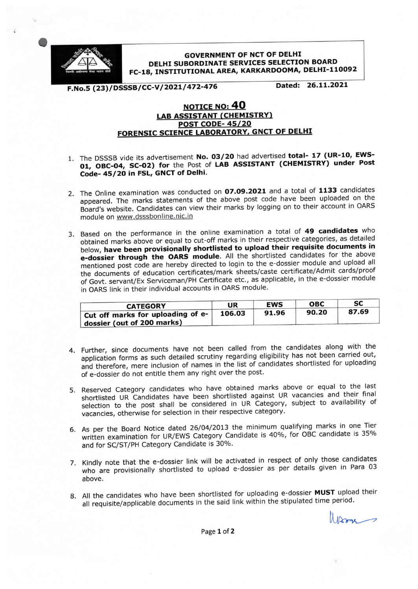

**GOVERNMENT OF NCT OF DELHI** DELHI SUBORDINATE SERVICES SELECTION BOARD FC-18, INSTITUTIONAL AREA, KARKARDOOMA, DELHI-110092

F.No.5 (23)/DSSSB/CC-V/2021/472-476

Dated: 26.11.2021

## NOTICE NO: 40 LAB ASSISTANT (CHEMISTRY)<br>POST CODE- 45/20 FORENSIC SCIENCE LABORATORY, GNCT OF DELHI

- 1. The DSSSB vide its advertisement No. 03/20 had advertised total- 17 (UR-10, EWS-01, OBC-04, SC-02) for the Post of LAB ASSISTANT (CHEMISTRY) under Post Code-45/20 in FSL, GNCT of Delhi.
- 2. The Online examination was conducted on 07.09.2021 and a total of 1133 candidates appeared. The marks statements of the above post code have been uploaded on the Board's website. Candidates can view their marks by logging on to their account in OARS module on www.dsssbonline.nic.in
- 3. Based on the performance in the online examination a total of 49 candidates who obtained marks above or equal to cut-off marks in their respective categories, as detailed below, have been provisionally shortlisted to upload their requisite documents in e-dossier through the OARS module. All the shortlisted candidates for the above mentioned post code are hereby directed to login to the e-dossier module and upload all the documents of education certificates/mark sheets/caste certificate/Admit cards/proof of Govt. servant/Ex Serviceman/PH Certificate etc., as applicable, in the e-dossier module in OARS link in their individual accounts in OARS module.

| <b>CATEGORY</b>                                                 | UR     | <b>EWS</b> | <b>OBC</b> | SC    |
|-----------------------------------------------------------------|--------|------------|------------|-------|
| Cut off marks for uploading of e-<br>dossier (out of 200 marks) | 106.03 | 91.96      | 90.20      | 87.69 |

- 4. Further, since documents have not been called from the candidates along with the application forms as such detailed scrutiny regarding eligibility has not been carried out, and therefore, mere inclusion of names in the list of candidates shortlisted for uploading of e-dossier do not entitle them any right over the post.
- 5. Reserved Category candidates who have obtained marks above or equal to the last shortlisted UR Candidates have been shortlisted against UR vacancies and their final selection to the post shall be considered in UR Category, subject to availability of vacancies, otherwise for selection in their respective category.
- 6. As per the Board Notice dated 26/04/2013 the minimum qualifying marks in one Tier written examination for UR/EWS Category Candidate is 40%, for OBC candidate is 35% and for SC/ST/PH Category Candidate is 30%.
- 7. Kindly note that the e-dossier link will be activated in respect of only those candidates who are provisionally shortlisted to upload e-dossier as per details given in Para 03 above.
- 8. All the candidates who have been shortlisted for uploading e-dossier MUST upload their all requisite/applicable documents in the said link within the stipulated time period.

Warm

Page 1 of 2